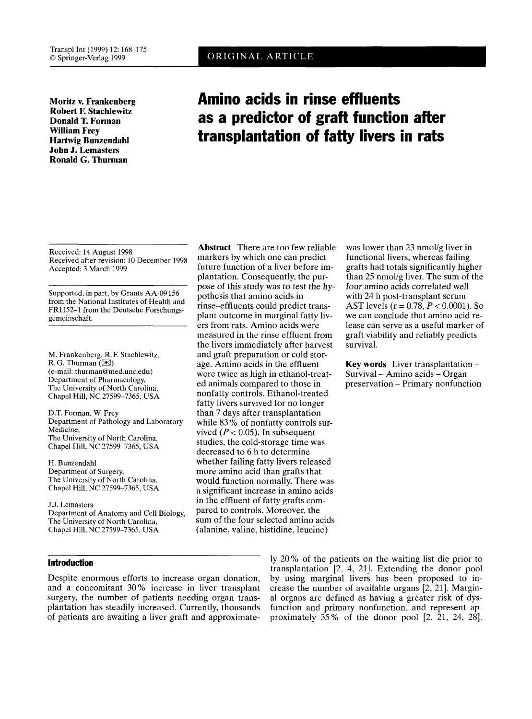**Robert F. Stachlewitz Donald T. Forman William Frey Hartwig Bunzendahl John J. Lemasters Ronald G. Thurman** 

# **Moritz v. Frankenberg Amino acids in rinse effluents as a predictor of graft function after transplantation of fatty livers in rats**

Received: 14 August 1998 Received after revision: 10 December 1998 Accepted: 3 March 1999

Supported, in part, by Grants AA-09 156 from the National Institutes **of** Health and FR1152-1 from the Deutsche Forschungsgemeinschaft.

M. Frankenberg, R. F. Stachlewitz, R. G. Thurman  $(\mathbb{X})$ (e-mail: thurman@med.unc.edu) Department of Pharmacology, The University of North Carolina, Chapel Hill, NC 27599-7365, USA

D.T. Forman, **W.** Frey Department of Pathology and Laboratory Medicine, The University of North Carolina, Chapel Hill, NC 27599-7365, USA

H. Bunzendahl Department of Surgery, The University of North Carolina, Chapel Hill, NC 27599-7365, USA

J.J. Lemasters Department of Anatomy and Cell Biology, The University of North Carolina, Chapel Hill, NC 27599-7365, USA

markers by which one can predict future function of a liver before implantation. Consequently, the purpose of this study was *to* test the hypothesis that amino acids in rinse-effluents could predict transplant outcome in marginal fatty livers from rats. Amino acids were measured in the rinse effluent from the livers immediately after harvest and graft preparation or cold storage. Amino acids in the effluent were twice as high in ethanol-treated animals compared to those in nonfatty controls. Ethanol-treated fatty livers survived for no longer than 7 days after transplantation while 83% of nonfatty controls survived  $(P < 0.05)$ . In subsequent studies, the cold-storage time was decreased to 6 h to determine whether failing fatty livers released more amino acid than grafts that would function normally. There was a significant increase in amino acids in the effluent of fatty grafts compared to controls. Moreover, the sum of the four selected amino acids (alanine, valine, histidine, leucine)

**Abstract** There are too few reliable

was lower than 23 nmol/g liver in functional livers, whereas failing grafts had totals significantly higher than 25 nmol/g liver. The sum of the four amino acids correlated well with 24 h post-transplant serum AST levels (r = 0.78, *P* < 0.0001). *So*  we can conclude that amino acid release can serve as a useful marker of graft viability and reliably predicts survival.

**Key words** Liver transplantation - Survival - Amino acids - Organ preservation - Primary nonfunction

Despite enormous efforts to increase organ donation, and a concomitant 30% increase in liver transplant surgery, the number of patients needing organ transplantation has steadily increased. Currently, thousands of patients are awaiting a liver graft and approximate-

**Introduction** ly 20% of the patients on the waiting list die prior to transplantation 12, 4, 211. Extending the donor pool by using marginal livers has been proposed to increase the number of available organs  $[2, 21]$ . Marginal organs are defined as having a greater risk of dysfunction and primary nonfunction, and represent approximately  $35\%$  of the donor pool [2, 21, 24, 28].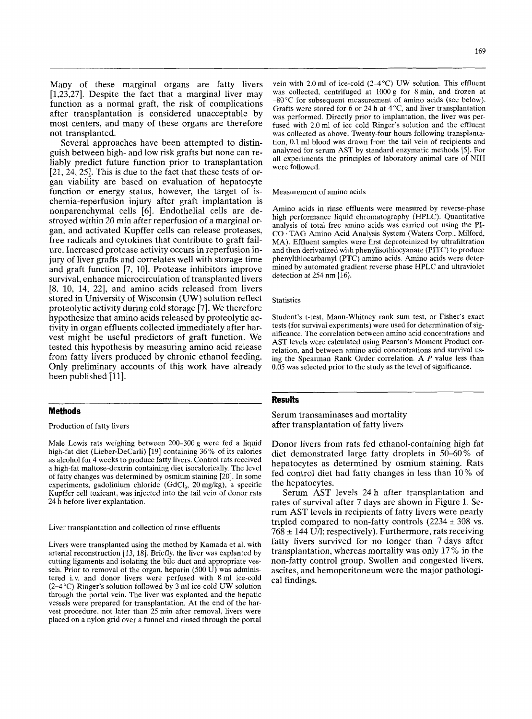Many of these marginal organs are fatty livers [1,23,27]. Despite the fact that a marginal liver may function as a normal graft, the risk of complications after transplantation is considered unacceptable by most centers, and many of these organs are therefore not transplanted.

Several approaches have been attempted to distinguish between high- and low risk grafts but none can reliably predict future function prior to transplantation [21,24,25]. This is due to the fact that these tests of organ viability are based on evaluation of hepatocyte function or energy status, however, the target of ischemia-reperfusion injury after graft implantation is nonparenchymal cells [6]. Endothelial cells are destroyed within 20 min after reperfusion of a marginal organ, and activated Kupffer cells can release proteases, free radicals and cytokines that contribute to graft failure. Increased protease activity occurs in reperfusion injury of liver grafts and correlates well with storage time and graft function [7, 10]. Protease inhibitors improve survival, enhance microcirculation of transplanted livers [8, 10, 14, 22], and amino acids released from livers stored in University of Wisconsin (UW) solution reflect proteolytic activity during cold storage [7]. We therefore hypothesize that amino acids released by proteolytic activity in organ effluents collected immediately after harvest might be useful predictors of graft function. We tested this hypothesis by measuring amino acid release from fatty livers produced by chronic ethanol feeding. Only preliminary accounts of this work have already been published [11].

# **Methods**

Production of fatty livers

Male Lewis rats weighing between 200-300 g were fed a liquid high-fat diet (Lieber-DeCarli) [19] containing 36 % of its calories as alcohol for 4 weeks to produce fatty livers. Control rats received a high-fat maltose-dextrin-containing diet isocalorically. The level of fatty changes was determined by osmium staining [20]. In some experiments, gadolinium chloride (GdCl<sub>3</sub>, 20 mg/kg), a specific Kupffer cell toxicant, was injected into the tail vein of donor rats 24 h before liver explantation.

Liver transplantation and collection of rinse effluents

Livers were transplanted using the method by Kamada et al. with arterial reconstruction [13, **181.** Briefly, the liver was explanted by cutting ligaments and isolating the bile duct and appropriate vessels. Prior to removal of the organ, heparin (500 U) was administered i.v. and donor livers were perfused with 8ml ice-cold (2-4 °C) Ringer's solution followed by 3 ml ice-cold UW solution through the portal vein. The liver was explanted and the hepatic vessels were prepared for transplantation. At the end of the harvest procedure, not later than 25 min after removal, livers were placed on a nylon grid over a funnel and rinsed through the portal

vein with 2.0 ml of ice-cold  $(2-4°C)$  UW solution. This effluent was collected, centrifuged at 1OOOg for 8min, and frozen at -80°C for subsequent measurement of amino acids (see below). Grafts were stored for 6 or 24 h at  $4^{\circ}$ C, and liver transplantation was performed. Directly prior to implantation, the liver was perfused with 2.0ml of ice cold Ringer's solution and the effluent was collected as above. Twenty-four hours following transplantation, 0.1 ml blood was drawn from the tail vein of recipients and analyzed for serum AST by standard enzymatic methods *[5].* For all experiments the principles of laboratory animal care of NIH were followed.

#### Measurement of amino acids

Amino acids in rinse effluents were measured by reverse-phase high performance liquid chromatography (HPLC). Quantitative analysis of total free amino acids was carried out using the PI-CO . TAG Amino Acid Analysis System (Waters Corp., Milford, MA). Effluent samples were first deproteinized by ultrafiltration and then derivatized with phenylisothiocyanate (PITC) to produce phenylthiocarbamyl (PTC) amino acids. Amino acids were determined by automated gradient reverse phase HPLC and ultraviolet detection at 254 nm [16].

#### **Statistics**

Student's t-test, Mann-Whitney rank sum test, or Fisher's exact tests (for survival experiments) were used for determination of significance. The correlation between amino acid concentrations and AST levels were calculated using Pearson's Moment Product correlation, and between amino acid concentrations and survival using the Spearman Rank Order correlation. A *P* value less than 0.05 was selected prior to the study as the level of significance.

# **Results**

Serum transaminases and mortality after transplantation of fatty livers

Donor livers from rats fed ethanol-containing high fat diet demonstrated large fatty droplets in 50-60% of hepatocytes as determined by osmium staining. Rats fed control diet had fatty changes in less than 10% of the hepatocytes.

Serum AST levels **24** h after transplantation and rates of survival after 7 days are shown in Figure 1. Serum AST levels in recipients of fatty livers were nearly tripled compared to non-fatty controls  $(2234 \pm 308 \text{ vs.})$  $768 \pm 144$  U/l; respectively). Furthermore, rats receiving fatty livers survived for no longer than 7 days after transplantation, whereas mortality was only 17% in the non-fatty control group. Swollen and congested livers, ascites, and hemoperitoneum were the major pathological findings.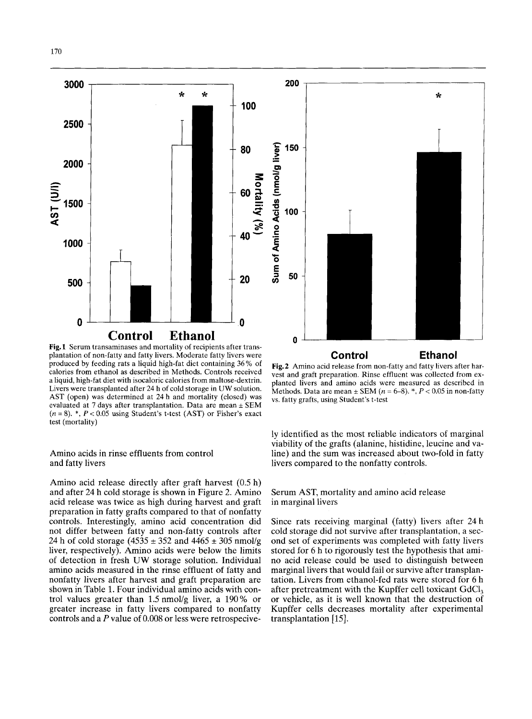

**Fig. 1** Serum transaminases and mortality of recipients after transplantation of non-fatty and fatty livers. Moderate fatty livers were produced by feeding rats a liquid high-fat diet containing 36% of calories from ethanol as described in Methods. Controls received a liquid, high-fat diet with isocaloric calories from maltose-dextrin. Livers were transplanted after 24 h of cold storage in UW solution. AST (open) was determined at 24 h and mortality (closed) was evaluated at 7 days after transplantation. Data are mean  $\pm$  SEM (*n* = 8). \*, *P* < 0.05 using Student's t-test (AST) or Fisher's exact transplantation. evaluated at 7 days after transplantation. Data are mean  $\pm$  SEM test (mortality)

# Amino acids in rinse effluents from control and fatty livers

Amino acid release directly after graft harvest (0.5 h) and after 24 h cold storage is shown in Figure 2. Amino acid release was twice as high during harvest and graft preparation in fatty grafts compared to that of nonfatty controls. Interestingly, amino acid concentration did not differ between fatty and non-fatty controls after 24 h of cold storage  $(4535 \pm 352 \text{ and } 4465 \pm 305 \text{ nmol/g})$ liver, respectively). Amino acids were below the limits of detection in fresh UW storage solution. Individual amino acids measured in the rinse effluent of fatty and nonfatty livers after harvest and graft preparation are shown in Table 1. Four individual amino acids with control values greater than 1.5 nmol/g liver, a 190% or greater increase in fatty livers compared to nonfatty controls and a *P* value of 0.008 or less were retrospecive-

**Fig.2** Amino acid release from non-fatty and fatty livers after harvest and graft preparation. Rinse effluent was collected from explanted livers and amino acids were measured as described in Methods. Data are mean  $\pm$  SEM  $(n = 6-8)$ . \*,  $P < 0.05$  in non-fatty vs. fatty grafts, using Student's t-test

**Control Ethanol** 

ly identified as the most reliable indicators of marginal viability of the grafts (alanine, histidine, leucine and valine) and the sum was increased about two-fold in fatty livers compared to the nonfatty controls.

# Serum AST, mortality and amino acid release in marginal livers

Since rats receiving marginal (fatty) livers after 24 h cold storage did not survive after transplantation, a second set of experiments was completed with fatty livers stored for 6 h to rigorously test the hypothesis that amino acid release could be used to distinguish between marginal livers that would fail or survive after transplantation. Livers from ethanol-fed rats were stored for 6 h after pretreatment with the Kupffer cell toxicant GdC1, or vehicle, as it is well known that the destruction of Kupffer cells decreases mortality after experimental transplantation  $[15]$ .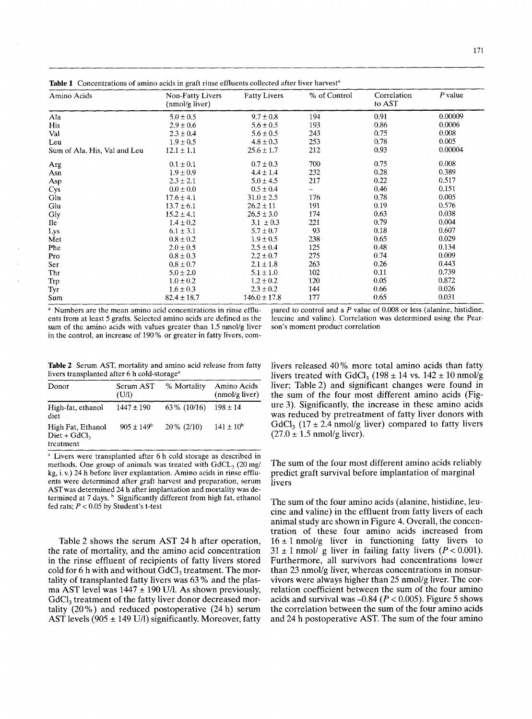**Table 1** Concentrations of amino acids in graft rinse effluents collected after liver harvest<sup>a</sup>

| Amino Acids                  | Non-Fatty Livers | <b>Fatty Livers</b> | % of Control | Correlation<br>to AST | $P$ value |
|------------------------------|------------------|---------------------|--------------|-----------------------|-----------|
|                              | (nmol/g liver)   |                     |              |                       |           |
| Ala                          | $5.0 \pm 0.5$    | $9.7 \pm 0.8$       | 194          | 0.91                  | 0.00009   |
| His                          | $2.9 \pm 0.6$    | $5.6 \pm 0.5$       | 193          | 0.86                  | 0.0006    |
| Val                          | $2.3 \pm 0.4$    | $5.6 \pm 0.5$       | 243          | 0.75                  | 0.008     |
| Leu                          | $1.9 \pm 0.5$    | $4.8 \pm 0.3$       | 253          | 0.78                  | 0.005     |
| Sum of Ala, His, Val and Leu | $12.1 \pm 1.1$   | $25.6 \pm 1.7$      | 212          | 0.93                  | 0.00004   |
| Arg                          | $0.1 \pm 0.1$    | $0.7 \pm 0.3$       | 700          | 0.75                  | 0.008     |
| Asn                          | $1.9 \pm 0.9$    | $4.4 \pm 1.4$       | 232          | 0.28                  | 0.389     |
| Asp                          | $2.3 \pm 2.1$    | $5.0 \pm 4.5$       | 217          | 0.22                  | 0.517     |
| Cys                          | $0.0 \pm 0.0$    | $0.5 \pm 0.4$       |              | 0.46                  | 0.151     |
| Gln                          | $17.6 \pm 4.1$   | $31.0 \pm 2.5$      | 176          | 0.78                  | 0.005     |
| Glu                          | $13.7 \pm 6.1$   | $26.2 \pm 11$       | 191          | 0.19                  | 0.576     |
| Gly                          | $15.2 \pm 4.1$   | $26.5 \pm 3.0$      | 174          | 0.63                  | 0.038     |
| Ile                          | $1.4 \pm 0.2$    | $3.1 \pm 0.3$       | 221          | 0.79                  | 0.004     |
| Lys                          | $6.1 \pm 3.1$    | $5.7 \pm 0.7$       | 93           | 0.18                  | 0.607     |
| Met                          | $0.8 \pm 0.2$    | $1.9 \pm 0.5$       | 238          | 0.65                  | 0.029     |
| Phe                          | $2.0 \pm 0.5$    | $2.5 \pm 0.4$       | 125          | 0.48                  | 0.134     |
| Pro                          | $0.8 \pm 0.3$    | $2.2 \pm 0.7$       | 275          | 0.74                  | 0.009     |
| Ser                          | $0.8 \pm 0.7$    | $2.1 \pm 1.8$       | 263          | 0.26                  | 0.443     |
| Thr                          | $5.0 \pm 2.0$    | $5.1 \pm 1.0$       | 102          | 0.11                  | 0.739     |
| Trp                          | $1.0 \pm 0.2$    | $1.2 \pm 0.2$       | 120          | 0.05                  | 0.872     |
| Tyr                          | $1.6 \pm 0.3$    | $2.3 \pm 0.2$       | 144          | 0.66                  | 0.026     |
| Sum                          | $82.4 \pm 18.7$  | $146.0 \pm 17.8$    | 177          | 0.65                  | 0.031     |

<sup>a</sup> Numbers are the mean amino acid concentrations in rinse effluents from at least 5 grafts. Selected amino acids are defined as the sum of the amino acids with values greater than 1.5 nmol/g liver in the control, an increase of 190% or greater in fatty livers, compared to control and a *P* value of 0.008 or less (alanine, histidine, leucine and valine). Correlation was determined using the Pearson's moment product correlation

**Table 2** Serum AST, mortality and amino acid release from fatty livers transplanted after 6 h cold-storage<sup>a</sup>

| Donor                                            | Serum AST<br>(U/I)    | % Mortality   | Amino Acids<br>$(mnol/g$ liver) |
|--------------------------------------------------|-----------------------|---------------|---------------------------------|
| High-fat, ethanol<br>diet                        | $1447 \pm 190$        | 63\% (10/16)  | $198 \pm 14$                    |
| High Fat, Ethanol<br>$Diet + GdCl3$<br>treatment | $905 \pm 149^{\circ}$ | $20\%$ (2/10) | $141 \pm 10^{6}$                |

<sup>a</sup> Livers were transplanted after 6 h cold storage as described in methods. One group of animals was treated with  $GdCL_3$  (20 mg/ **kg,** i. **v.)** 24 h before liver explantation. Amino acids in rinse effluents were determined after graft harvest and preparation, serum ASTwas determined 24 h after implantation and mortality was determined at 7 days. <sup>b</sup> Significantly different from high fat, ethanol fed rats;  $P < 0.05$  by Student's t-test

Table 2 shows the serum **AST** 24 h after operation, the rate of mortality, and the amino acid concentration in the rinse effluent of recipients of fatty livers stored cold for 6 h with and without GdCl, treatment. The mortality of transplanted fatty livers was 63 % and the plasma AST level was  $1447 \pm 190$  U/l. As shown previously, GdCl, treatment of the fatty liver donor decreased mortality (20%) and reduced postoperative (24 h) serum AST levels (905  $\pm$  149 U/l) significantly. Moreover, fatty livers released 40% more total amino acids than fatty livers treated with GdCl<sub>3</sub> (198 ± 14 vs. 142 ± 10 nmol/g liver; Table 2) and significant changes were found in the sum of the four most different amino acids (Figure 3). Significantly, the increase in these amino acids was reduced by pretreatment of fatty liver donors with GdCl<sub>3</sub> (17  $\pm$  2.4 nmol/g liver) compared to fatty livers  $(27.0 \pm 1.5 \text{ nmol/g liver}).$ 

The sum of the four most different amino acids reliably predict graft survival before implantation of marginal livers

The sum of the four amino acids (alanine, histidine, leucine and valine) in the effluent from fatty livers of each animal study are shown in Figure 4. Overall, the concentration of these four amino acids increased from  $16 \pm 1$  nmol/g liver in functioning fatty livers to  $31 \pm 1$  nmol/ g liver in failing fatty livers ( $P < 0.001$ ). Furthermore, all survivors had concentrations lower than 23 nmol/g liver, whereas concentrations in nonsurvivors were always higher than 25 nmol/g liver. The correlation coefficient between the sum of the four amino acids and survival was -0.84 *(P* < 0.005). Figure *5* shows the correlation between the sum of the four amino acids and 24 h postoperative AST. The sum of the four amino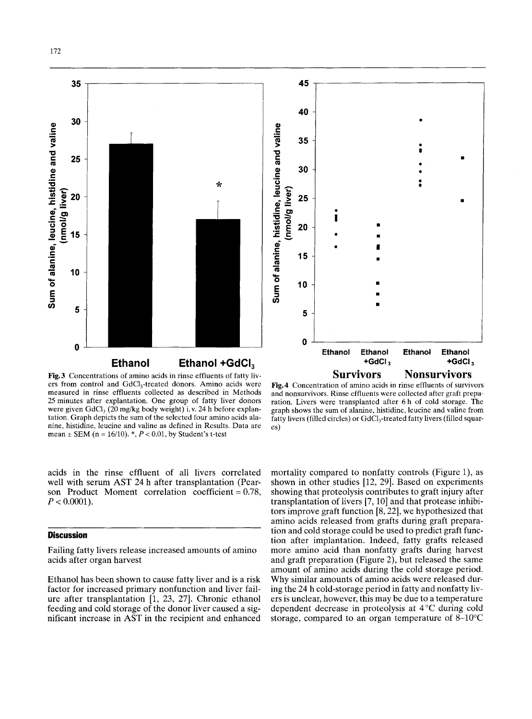

172



**Fig.3** Concentrations of amino acids in rinse effluents of fatty livers from control and GdCI,-treated donors. Amino acids were measured in rinse effluents collected as described in Methods 25minutes after explantation. One group of fatty liver donors were given GdCI, (20 mg/kg body weight) i.v. 24 h before explantation. Graph depicts the sum of the selected four amino acids alanine, histidine, leucine and valine as defined in Results. Data are mean  $\pm$  SEM (n = 16/10).  $^*$ ,  $P < 0.01$ , by Student's t-test

**Fig.4** Concentration of amino acids in rinse effluents of survivors and nonsurvivors. Rinse effluents were collected after graft preparation. Livers were transplanted after 6 h of cold storage. The graph shows the sum of alanine, histidine, leucine and valine from fatty livers (filled circles) or GdCl<sub>3</sub>-treated fatty livers (filled squares)

acids in the rinse effluent of all livers correlated well with serum **AST** 24 h after transplantation (Pearson Product Moment correlation coefficient  $= 0.78$ ,  $P < 0.0001$ ).

#### **Discussion**

Failing fatty livers release increased amounts of amino acids after organ harvest

Ethanol has been shown to cause fatty liver and is a risk factor for increased primary nonfunction and liver failure after transplantation [1, 23, 27]. Chronic ethanol feeding and cold storage of the donor liver caused a significant increase in **AST** in the recipient and enhanced

mortality compared to nonfatty controls (Figure 1), as shown in other studies [12, 29]. Based on experiments showing that proteolysis contributes to graft injury after transplantation of livers [7,10] and that protease inhibitors improve graft function  $[8, 22]$ , we hypothesized that amino acids released from grafts during graft preparation and cold storage could be used to predict graft function after implantation. Indeed, fatty grafts released more amino acid than nonfatty grafts during harvest and graft preparation (Figure 2), but released the same amount of amino acids during the cold storage period. Why similar amounts of amino acids were released during the 24 h cold-storage period in fatty and nonfatty livers is unclear, however, this may be due to a temperature dependent decrease in proteolysis at **4** *"C* during cold storage, compared to an organ temperature of 8-10°C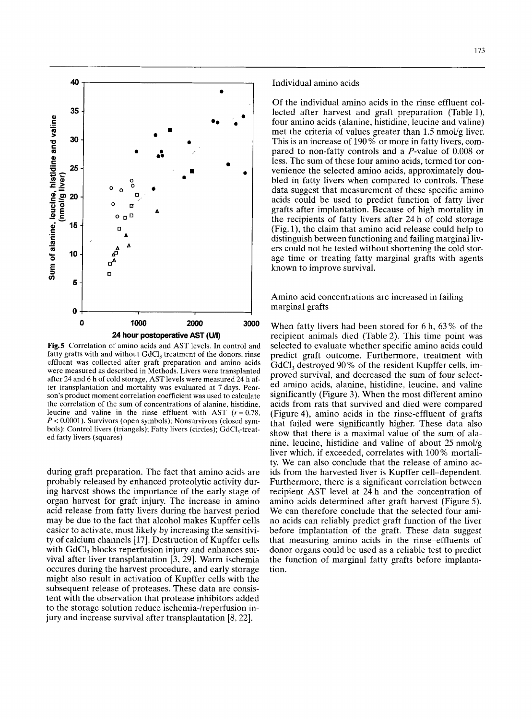

**Fig.5** Correlation of amino acids and **AST** levels. In control and fatty grafts with and without GdCI, treatment of the donors, rinse effluent was collected after graft preparation and amino acids were measured as described in Methods. Livers were transplanted after 24 and 6 **h** of cold storage, **AST** levels were measured 24 h after transplantation and mortality was evaluated at **7** days. Pearson's product moment correlation coefficient was used to calculate the correlation of the sum of concentrations of alanine, histidine, leucine and valine in the rinse effluent with AST  $(r = 0.78,$ *P* < 0.0001). Survivors (open symbols); Nonsurvivors (closed symbols); Control livers (triangels); Fatty livers (circles); GdC1,-treated fatty livers (squares)

during graft preparation. The fact that amino acids are probably released by enhanced proteolytic activity during harvest shows the importance of the early stage of organ harvest for graft injury. The increase in amino acid release from fatty livers during the harvest period may be due to the fact that alcohol makes Kupffer cells easier to activate, most likely by increasing the sensitivity of calcium channels [17]. Destruction of Kupffer cells with GdCl<sub>3</sub> blocks reperfusion injury and enhances survival after liver transplantation  $[3, 29]$ . Warm ischemia occures during the harvest procedure, and early storage might also result in activation of Kupffer cells with the subsequent release of proteases. These data are consistent with the observation that protease inhibitors added to the storage solution reduce ischemia-/reperfusion injury and increase survival after transplantation [8,22].

Individual amino acids

Of the individual amino acids in the rinse effluent collected after harvest and graft preparation (Table l), four amino acids (alanine, histidine, leucine and valine) met the criteria of values greater than 1.5 nmol/g liver. This is an increase of 190% or more in fatty livers, compared to non-fatty controls and a P-value of 0.008 or less. The sum of these four amino acids, termed for convenience the selected amino acids, approximately doubled in fatty livers when compared to controls. These data suggest that measurement of these specific amino acids could be used to predict function of fatty liver grafts after implantation. Because of high mortality in the recipients of fatty livers after 24 h of cold storage (Fig. l), the claim that amino acid release could help to distinguish between functioning and failing marginal livers could not be tested without shortening the cold storage time or treating fatty marginal grafts with agents known to improve survival.

Amino acid concentrations are increased in failing marginal grafts

When fatty livers had been stored for 6 h, 63% of the recipient animals died (Table 2). This time point was selected to evaluate whether specific amino acids could predict graft outcome. Furthermore, treatment with GdCl<sub>3</sub> destroyed 90% of the resident Kupffer cells, improved survival, and decreased the sum of four selected amino acids, alanine, histidine, leucine, and valine significantly (Figure 3). When the most different amino acids from rats that survived and died were compared (Figure 4), amino acids in the rinse-effluent of grafts that failed were significantly higher. These data also show that there is a maximal value of the sum of alanine, leucine, histidine and valine of about 25 nmol/g liver which, if exceeded, correlates with  $100\%$  mortality. We can also conclude that the release of amino acids from the harvested liver is Kupffer cell-dependent. Furthermore, there is a significant correlation between recipient AST level at 24 h and the concentration of amino acids determined after graft harvest (Figure *5).*  We can therefore conclude that the selected four amino acids can reliably predict graft function of the liver before implantation of the graft. These data suggest that measuring amino acids in the rinse-effluents of donor organs could be used as a reliable test to predict the function of marginal fatty grafts before implantation.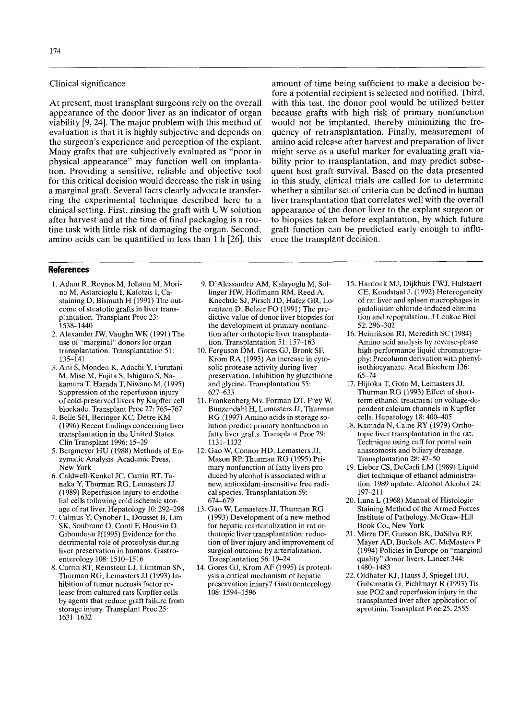## Clinical significance

At present, most transplant surgeons rely on the overall appearance of the donor liver as an indicator of organ viability [9,24]. The major problem with this method of evaluation is that it is highly subjective and depends on the surgeon's experience and perception of the explant. Many grafts that are subjectively evaluated as "poor in physical appearance" may function well on implantation. Providing a sensitive, reliable and objective tool for this critical decision would decrease the risk in using a marginal graft. Several facts clearly advocate transferring the experimental technique described here to a clinical setting. First, rinsing the graft with UW solution after harvest and at the time of final packaging is a routine task with little risk of damaging the organ. Second, amino acids can be quantified in less than 1 h [26], this

amount of time being sufficient to make a decision before a potential recipient is selected and notified. Third, with this test, the donor pool would be utilized better because grafts with high risk of primary nonfunction would not be implanted, thereby minimizing the frequency of retransplantation. Finally, measurement of amino acid release after harvest and preparation of liver might serve as a useful marker for evaluating graft viability prior to transplantation, and may predict subsequent host graft survival. Based on the data presented in this study, clinical trials are called for to determine whether a similar set of criteria can be defined in human liver transplantation that correlates well with the overall appearance of the donor liver to the explant surgeon or to biopsies taken before explantation, by which future graft function can be predicted early enough to influence the transplant decision.

### **References**

- 1. Adam R, Reynes M, Johann M, Morino M, Astarcioglu I, Kafetzis I, Castaining D, Bismuth H (1991) The outcome of steatotic grafts in liver transplantation. Transplant Proc 23: 1538-1440
- 2. Alexander JW, Vaughn WK (1991) The use of "marginal" donors for organ transplantation. Transplantation 51: 135-141
- 3. Arii **S,** Monden K, Adachi Y, Furutani M, Mise M, Fujita **S,** Ishiguro **S,** Nakamura T, Harada T, Niwano M, (1995) Suppression of the reperfusion injury of cold-preserved livers by Kupffer cell blockade. Transplant Proc 27: 765-767
- **(1** 996) Recent findings concerning liver transplantation in the United States. Clin Transplant 1996: 15-29 4. Belle SH, Beringer KC, Detre KM
- 5. Bergmeyer HU (1988) Methods of Enzymatic Analysis. Academic Press, New York
- 6. Caldwell-Kenkel JC, Currin RT, Tanaka Y, Thurman RG, Lemasters JJ (1989) Reperfusion injury to endothelial cells following cold ischemic storage of rat liver. Hepatology 10: 292-298
- **7.** Calmus Y, Cynober L, Dousset B, Lim SK, Soubrane 0, Conti F, Houssin D, Giboudeau J(1995) Evidence for the detrimental role of proteolysis during liver preservation in humans. Gastroenterology 108: 1510-1516
- 8. Currin RT, Reinstein LJ, Lichtman SN, Thurman RG, Lemasters JJ (1993) Inhibition of tumor necrosis factor release from cultured rats Kupffer cells by agents that reduce graft failure from storage injury. Transplant Proc 25: 1631-1632
- 9. D'Alessandro AM, Kalayoglu M, Sollinger HW, Hoffmann RM, Reed A, Knechtle SJ, Pirsch JD, Hafez GR, Lorentzen D, Belzer FO (1991) The predictive value of donor liver biopsies fof the development of primary nonfunction after orthotopic liver transplantation. Transplantation 51: 157-163
- 10. Ferguson DM, Gores GJ, Bronk SF, Krom RA (1993) An increase in cytosolic protease activity during liver preservation. Inhibition by glutathione and glycine. Transplantation *55:*  627-633
- 11. Frankenberg Mv, Forman DT, Frey W, Bunzendahl H, Lemasters JJ, Thurman RG (1997) Amino acids in storage **so**lution predict primary nonfunction in fatty liver grafts. Transplant Proc 29: 1131-1132
- Mason RP, Thurman RG (1995) Primary nonfunction of fatty livers produced by alcohol is associated with a new, antioxidant-insensitive free radical species. Transplantation 59: 674-679 12. Gao W, Connor HD, Lemasters JJ,
- (1993) Development of a new method for hepatic rearterialization in rat orthotopic liver transplantation: reduction of liver injury and improvement of surgical outcome by arterialization. Transplantation 56: 19-24 13. Gao W, Lemasters JJ, Thurman RG
- 14. Gores GJ, Krom **AF** (1995) **Is** proteolysis a critical mechanism of hepatic preservation injury? Gastroenterology 108: 1594-1596
- 15. Hardonk MJ, Dijkhuis FWJ, Hulstaert CE, Koudstaal J. (1992) Heterogeneity of rat liver and spleen macrophages in gadolinium chloride-induced elimination and repopulation. J Leukoc Biol 52: 296-302
- 16. Heinrikson RI, Meredith SC (1984) Amino acid analysis by reverse-phase high-performance liquid chromatography: Precolumn derivation with phenylisothiocyanate. Anal Biochem 136: 65-74
- 17. Hijioka T, Goto M, Lemasters JJ, Thurman RG (1993) Effect of shortterm ethanol treatment on voltage-dependent calcium channels in Kupffer cells. Hepatology 18: 400-405
- 18. Kamada N, Calne RY (1979) Orthotopic liver transplantation in the rat. Technique using cuff for portal vein anastomosis and biliary drainage. Transplantation 28: 47-50
- 19. Lieber CS, DeCarli LM (1989) Liquid diet technique of ethanol administration: 1989 update. Alcohol Alcohol 24: 197-211
- 20. Luna L (1968) Manual of Histologic Staining Method of the Armed Forces Institute of Pathology. McGraw-Hill Book Co., New York
- 21. Mirza DF, Gunson BK, DaSilva RF, Mayer AD, Buckels AC, McMasters P (1994) Policies in Europe on "marginal quality" donor livers. Lancet 344: 1480-1483
- 22. Oldhafer KJ, Hauss J, Spiegel HU, Gubernatis G, Pichlmayr R (1993) Tis**sue** PO2 and reperfusion injury in the transplanted liver after application of aprotinin. Transplant Proc 25: 2555